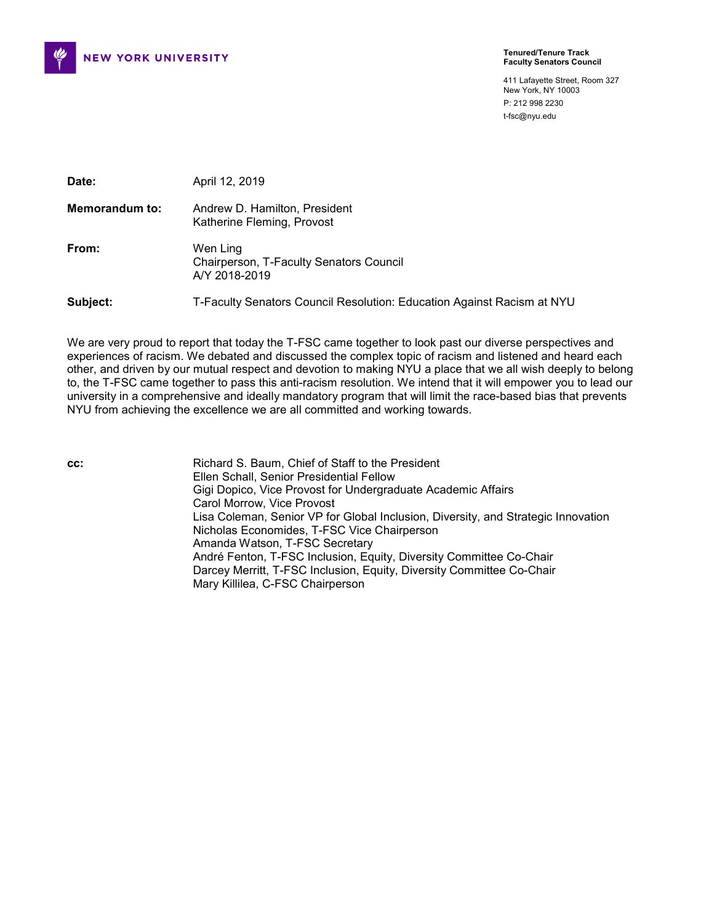

#### **Tenured/Tenure Track Faculty Senators Council**

411 Lafayette Street, Room 327 New York, NY 10003 P: 212 998 2230 t-fsc@nyu.edu

| Date:          | April 12, 2019                                                         |
|----------------|------------------------------------------------------------------------|
| Memorandum to: | Andrew D. Hamilton, President<br>Katherine Fleming, Provost            |
| From:          | Wen Ling<br>Chairperson, T-Faculty Senators Council<br>A/Y 2018-2019   |
| Subject:       | T-Faculty Senators Council Resolution: Education Against Racism at NYU |

We are very proud to report that today the T-FSC came together to look past our diverse perspectives and experiences of racism. We debated and discussed the complex topic of racism and listened and heard each other, and driven by our mutual respect and devotion to making NYU a place that we all wish deeply to belong to, the T-FSC came together to pass this anti-racism resolution. We intend that it will empower you to lead our university in a comprehensive and ideally mandatory program that will limit the race-based bias that prevents NYU from achieving the excellence we are all committed and working towards.

**cc:** Richard S. Baum, Chief of Staff to the President Ellen Schall, Senior Presidential Fellow Gigi Dopico, Vice Provost for Undergraduate Academic Affairs Carol Morrow, Vice Provost Lisa Coleman, Senior VP for Global Inclusion, Diversity, and Strategic Innovation Nicholas Economides, T-FSC Vice Chairperson Amanda Watson, T-FSC Secretary André Fenton, T-FSC Inclusion, Equity, Diversity Committee Co-Chair Darcey Merritt, T-FSC Inclusion, Equity, Diversity Committee Co-Chair Mary Killilea, C-FSC Chairperson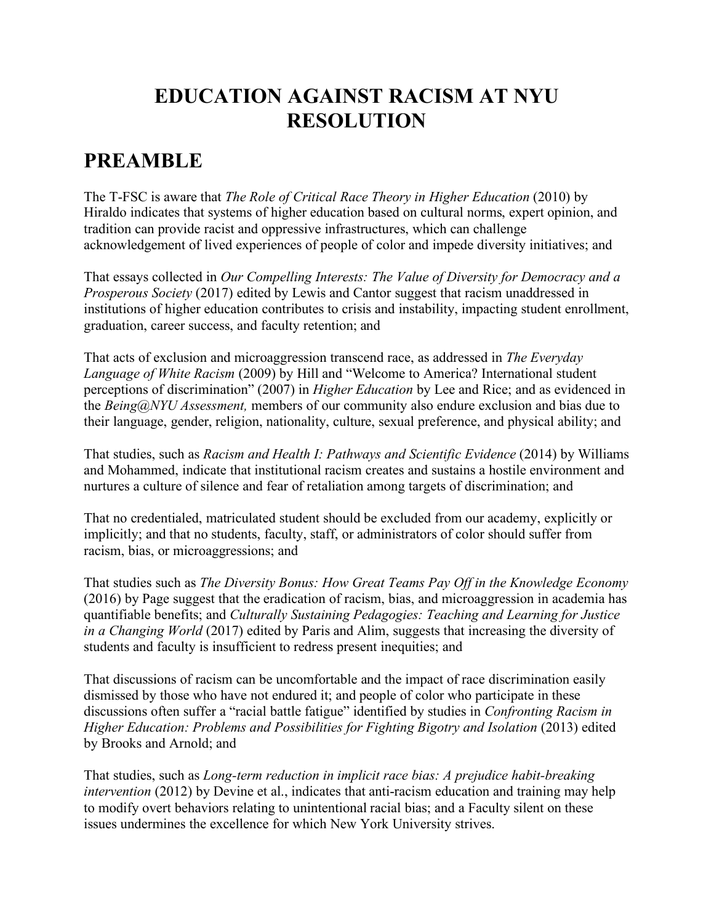# **EDUCATION AGAINST RACISM AT NYU RESOLUTION**

## **PREAMBLE**

The T-FSC is aware that *The Role of Critical Race Theory in Higher Education* (2010) by Hiraldo indicates that systems of higher education based on cultural norms, expert opinion, and tradition can provide racist and oppressive infrastructures, which can challenge acknowledgement of lived experiences of people of color and impede diversity initiatives; and

That essays collected in *Our Compelling Interests: The Value of Diversity for Democracy and a Prosperous Society* (2017) edited by Lewis and Cantor suggest that racism unaddressed in institutions of higher education contributes to crisis and instability, impacting student enrollment, graduation, career success, and faculty retention; and

That acts of exclusion and microaggression transcend race, as addressed in *The Everyday Language of White Racism* (2009) by Hill and "Welcome to America? International student perceptions of discrimination" (2007) in *Higher Education* by Lee and Rice; and as evidenced in the *Being@NYU Assessment,* members of our community also endure exclusion and bias due to their language, gender, religion, nationality, culture, sexual preference, and physical ability; and

That studies, such as *Racism and Health I: Pathways and Scientific Evidence* (2014) by Williams and Mohammed, indicate that institutional racism creates and sustains a hostile environment and nurtures a culture of silence and fear of retaliation among targets of discrimination; and

That no credentialed, matriculated student should be excluded from our academy, explicitly or implicitly; and that no students, faculty, staff, or administrators of color should suffer from racism, bias, or microaggressions; and

That studies such as *The Diversity Bonus: How Great Teams Pay Off in the Knowledge Economy* (2016) by Page suggest that the eradication of racism, bias, and microaggression in academia has quantifiable benefits; and *Culturally Sustaining Pedagogies: Teaching and Learning for Justice in a Changing World* (2017) edited by Paris and Alim, suggests that increasing the diversity of students and faculty is insufficient to redress present inequities; and

That discussions of racism can be uncomfortable and the impact of race discrimination easily dismissed by those who have not endured it; and people of color who participate in these discussions often suffer a "racial battle fatigue" identified by studies in *Confronting Racism in Higher Education: Problems and Possibilities for Fighting Bigotry and Isolation* (2013) edited by Brooks and Arnold; and

That studies, such as *Long-term reduction in implicit race bias: A prejudice habit-breaking intervention* (2012) by Devine et al., indicates that anti-racism education and training may help to modify overt behaviors relating to unintentional racial bias; and a Faculty silent on these issues undermines the excellence for which New York University strives.